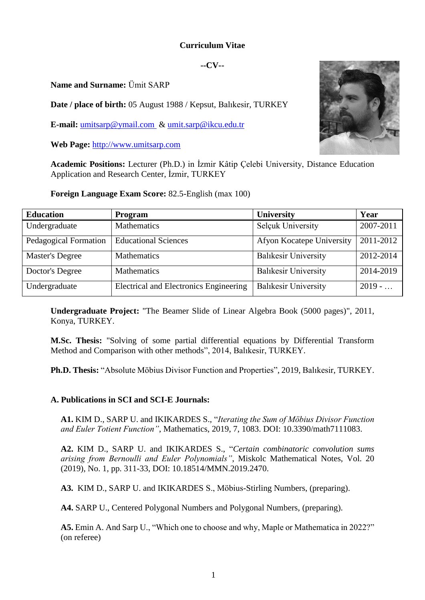# **Curriculum Vitae**

#### **--CV--**

**Name and Surname:** Ümit SARP

**Date / place of birth:** 05 August 1988 / Kepsut, Balıkesir, TURKEY

**E-mail:** [umitsarp@ymail.com](mailto:umitsarp@ymail.com) & [umit.sarp@ikcu.edu.tr](mailto:umit.sarp@ikcu.edu.tr)

**Web Page:** [http://www.umitsarp.com](http://www.umitsarp.com/)

**Academic Positions:** Lecturer (Ph.D.) in İzmir Kâtip Çelebi University, Distance Education Application and Research Center, İzmir, TURKEY

**Foreign Language Exam Score:** 82.5-English (max 100)

| <b>Education</b>       | <b>Program</b>                         | <b>University</b>           | Year      |
|------------------------|----------------------------------------|-----------------------------|-----------|
| Undergraduate          | <b>Mathematics</b>                     | <b>Selçuk University</b>    | 2007-2011 |
| Pedagogical Formation  | <b>Educational Sciences</b>            | Afyon Kocatepe University   | 2011-2012 |
| <b>Master's Degree</b> | <b>Mathematics</b>                     | <b>Balıkesir University</b> | 2012-2014 |
| Doctor's Degree        | <b>Mathematics</b>                     | <b>Balıkesir University</b> | 2014-2019 |
| Undergraduate          | Electrical and Electronics Engineering | <b>Balıkesir University</b> | $2019 - $ |

**Undergraduate Project:** "The Beamer Slide of Linear Algebra Book (5000 pages)", 2011, Konya, TURKEY.

**M.Sc. Thesis:** "Solving of some partial differential equations by Differential Transform Method and Comparison with other methods", 2014, Balıkesir, TURKEY.

**Ph.D. Thesis:** "Absolute Möbius Divisor Function and Properties", 2019, Balıkesir, TURKEY.

# **A. Publications in SCI and SCI-E Journals:**

**A1.** KIM D., SARP U. and IKIKARDES S., "*Iterating the Sum of Möbius Divisor Function and Euler Totient Function"*, Mathematics, 2019, 7, 1083. DOI: 10.3390/math7111083.

**A2.** KIM D., SARP U. and IKIKARDES S., "*Certain combinatoric convolution sums arising from Bernoulli and Euler Polynomials"*, Miskolc Mathematical Notes, Vol. 20 (2019), No. 1, pp. 311-33, DOI: 10.18514/MMN.2019.2470.

**A3.** KIM D., SARP U. and IKIKARDES S., Möbius-Stirling Numbers, (preparing).

**A4.** SARP U., Centered Polygonal Numbers and Polygonal Numbers, (preparing).

**A5.** Emin A. And Sarp U., "Which one to choose and why, Maple or Mathematica in 2022?" (on referee)

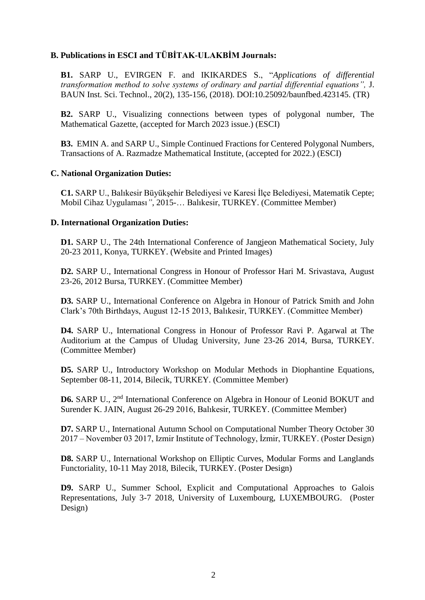### **B. Publications in ESCI and TÜBİTAK-ULAKBİM Journals:**

**B1.** SARP U., EVIRGEN F. and IKIKARDES S., "*Applications of differential transformation method to solve systems of ordinary and partial differential equations",* J. BAUN Inst. Sci. Technol., 20(2), 135-156, (2018). DOI:10.25092/baunfbed.423145. (TR)

**B2.** SARP U., Visualizing connections between types of polygonal number, The Mathematical Gazette, (accepted for March 2023 issue.) (ESCI)

**B3.** EMIN A. and SARP U., Simple Continued Fractions for Centered Polygonal Numbers, Transactions of A. Razmadze Mathematical Institute, (accepted for 2022.) (ESCI)

#### **C. National Organization Duties:**

**C1.** SARP U., Balıkesir Büyükşehir Belediyesi ve Karesi İlçe Belediyesi, Matematik Cepte; Mobil Cihaz Uygulaması*"*, 2015-… Balıkesir, TURKEY. (Committee Member)

#### **D. International Organization Duties:**

**D1.** SARP U., The 24th International Conference of Jangjeon Mathematical Society, July 20-23 2011, Konya, TURKEY. (Website and Printed Images)

**D2.** SARP U., International Congress in Honour of Professor Hari M. Srivastava, August 23-26, 2012 Bursa, TURKEY. (Committee Member)

**D3.** SARP U., International Conference on Algebra in Honour of Patrick Smith and John Clark's 70th Birthdays, August 12-15 2013, Balıkesir, TURKEY. (Committee Member)

**D4.** SARP U., International Congress in Honour of Professor Ravi P. Agarwal at The Auditorium at the Campus of Uludag University, June 23-26 2014, Bursa, TURKEY. (Committee Member)

**D5.** SARP U., Introductory Workshop on Modular Methods in Diophantine Equations, September 08-11, 2014, Bilecik, TURKEY. (Committee Member)

**D6.** SARP U., 2<sup>nd</sup> International Conference on Algebra in Honour of Leonid BOKUT and Surender K. JAIN, August 26-29 2016, Balıkesir, TURKEY. (Committee Member)

**D7.** SARP U., International Autumn School on Computational Number Theory October 30 2017 – November 03 2017, Izmir Institute of Technology, İzmir, TURKEY. (Poster Design)

**D8.** SARP U., International Workshop on Elliptic Curves, Modular Forms and Langlands Functoriality, 10-11 May 2018, Bilecik, TURKEY. (Poster Design)

**D9.** SARP U., Summer School, Explicit and Computational Approaches to Galois Representations, July 3-7 2018, University of Luxembourg, LUXEMBOURG. (Poster Design)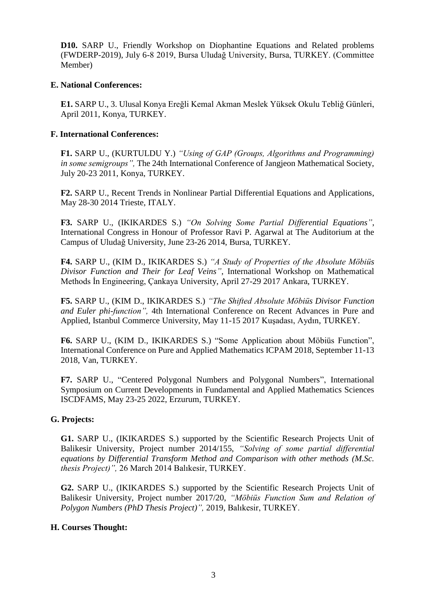**D10.** SARP U., Friendly Workshop on Diophantine Equations and Related problems (FWDERP-2019), July 6-8 2019, Bursa Uludağ University, Bursa, TURKEY. (Committee Member)

#### **E. National Conferences:**

**E1.** SARP U., 3. Ulusal Konya Ereğli Kemal Akman Meslek Yüksek Okulu Tebliğ Günleri, April 2011, Konya, TURKEY.

### **F. International Conferences:**

**F1.** SARP U., (KURTULDU Y.) *"Using of GAP (Groups, Algorithms and Programming) in some semigroups",* The 24th International Conference of Jangjeon Mathematical Society, July 20-23 2011, Konya, TURKEY.

**F2.** SARP U., Recent Trends in Nonlinear Partial Differential Equations and Applications, May 28-30 2014 Trieste, ITALY.

**F3.** SARP U., (IKIKARDES S.) *"On Solving Some Partial Differential Equations"*, International Congress in Honour of Professor Ravi P. Agarwal at The Auditorium at the Campus of Uludağ University, June 23-26 2014, Bursa, TURKEY.

**F4.** SARP U., (KIM D., IKIKARDES S.) *"A Study of Properties of the Absolute Möbiüs Divisor Function and Their for Leaf Veins"*, International Workshop on Mathematical Methods İn Engineering, Çankaya University, April 27-29 2017 Ankara, TURKEY.

**F5.** SARP U., (KIM D., IKIKARDES S.) *"The Shifted Absolute Möbiüs Divisor Function and Euler phi-function",* 4th International Conference on Recent Advances in Pure and Applied, Istanbul Commerce University, May 11-15 2017 Kuşadası, Aydın, TURKEY.

**F6.** SARP U., (KIM D., IKIKARDES S.) "Some Application about Möbiüs Function", International Conference on Pure and Applied Mathematics ICPAM 2018, September 11-13 2018, Van, TURKEY.

**F7.** SARP U., "Centered Polygonal Numbers and Polygonal Numbers", International Symposium on Current Developments in Fundamental and Applied Mathematics Sciences ISCDFAMS, May 23-25 2022, Erzurum, TURKEY.

# **G. Projects:**

**G1.** SARP U., (IKIKARDES S.) supported by the Scientific Research Projects Unit of Balikesir University, Project number 2014/155, *"Solving of some partial differential equations by Differential Transform Method and Comparison with other methods (M.Sc. thesis Project)",* 26 March 2014 Balıkesir, TURKEY.

**G2.** SARP U., (IKIKARDES S.) supported by the Scientific Research Projects Unit of Balikesir University, Project number 2017/20, *"Möbiüs Function Sum and Relation of Polygon Numbers (PhD Thesis Project)",* 2019, Balıkesir, TURKEY.

# **H. Courses Thought:**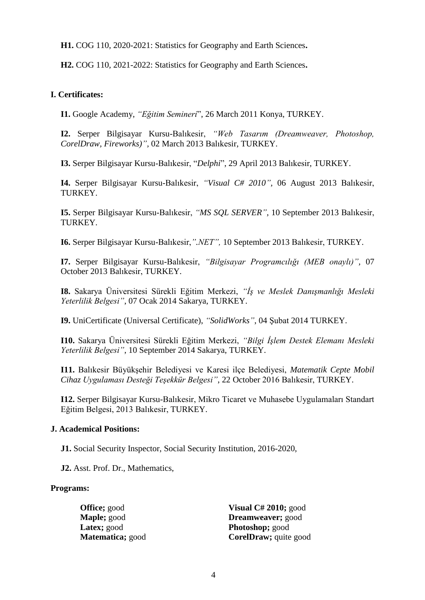**H1.** COG 110, 2020-2021: Statistics for Geography and Earth Sciences**.**

**H2.** COG 110, 2021-2022: Statistics for Geography and Earth Sciences**.**

# **I. Certificates:**

**I1.** Google Academy, *"Eğitim Semineri*", 26 March 2011 Konya, TURKEY.

**I2.** Serper Bilgisayar Kursu-Balıkesir, *"Web Tasarım (Dreamweaver, Photoshop, CorelDraw, Fireworks)",* 02 March 2013 Balıkesir, TURKEY.

**I3.** Serper Bilgisayar Kursu-Balıkesir, "*Delphi*", 29 April 2013 Balıkesir, TURKEY.

**I4.** Serper Bilgisayar Kursu-Balıkesir, *"Visual C# 2010",* 06 August 2013 Balıkesir, TURKEY.

**I5.** Serper Bilgisayar Kursu-Balıkesir, *"MS SQL SERVER"*, 10 September 2013 Balıkesir, TURKEY.

**I6.** Serper Bilgisayar Kursu-Balıkesir,*".NET",* 10 September 2013 Balıkesir, TURKEY.

**I7.** Serper Bilgisayar Kursu-Balıkesir, *"Bilgisayar Programcılığı (MEB onaylı)",* 07 October 2013 Balıkesir, TURKEY.

**I8.** Sakarya Üniversitesi Sürekli Eğitim Merkezi, *"İş ve Meslek Danışmanlığı Mesleki Yeterlilik Belgesi"*, 07 Ocak 2014 Sakarya, TURKEY.

**I9.** UniCertificate (Universal Certificate), *"SolidWorks"*, 04 Şubat 2014 TURKEY.

**I10.** Sakarya Üniversitesi Sürekli Eğitim Merkezi, *"Bilgi İşlem Destek Elemanı Mesleki Yeterlilik Belgesi"*, 10 September 2014 Sakarya, TURKEY.

**I11.** Balıkesir Büyükşehir Belediyesi ve Karesi ilçe Belediyesi, *Matematik Cepte Mobil Cihaz Uygulaması Desteği Teşekkür Belgesi"*, 22 October 2016 Balıkesir, TURKEY.

**I12.** Serper Bilgisayar Kursu-Balıkesir, Mikro Ticaret ve Muhasebe Uygulamaları Standart Eğitim Belgesi, 2013 Balıkesir, TURKEY.

# **J. Academical Positions:**

**J1.** Social Security Inspector, Social Security Institution, 2016-2020,

**J2.** Asst. Prof. Dr., Mathematics,

# **Programs:**

**Office;** good **Maple;** good **Latex;** good **Matematica;** good **Visual C# 2010;** good **Dreamweaver;** good **Photoshop;** good **CorelDraw;** quite good